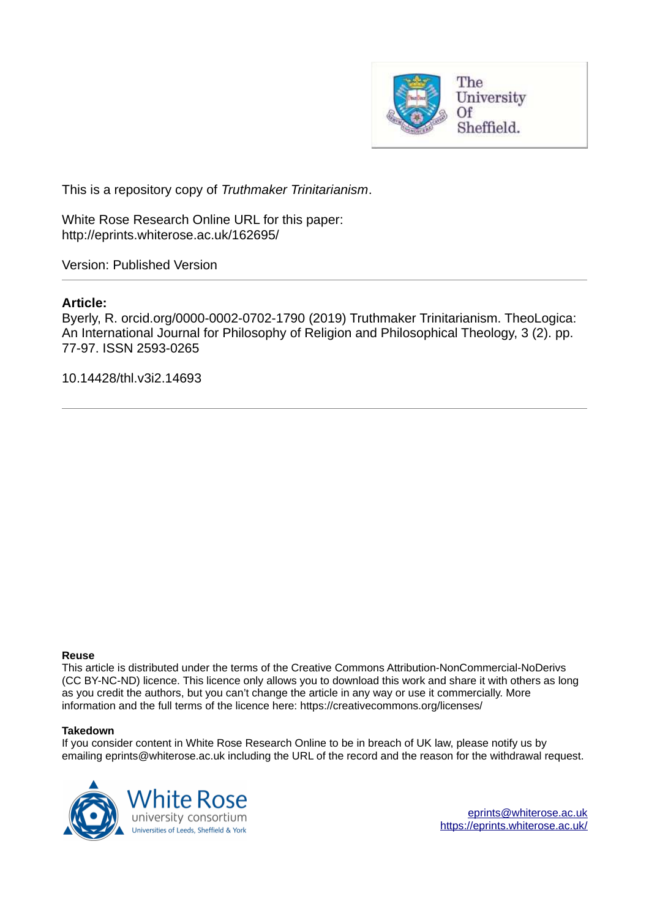

This is a repository copy of *Truthmaker Trinitarianism*.

White Rose Research Online URL for this paper: http://eprints.whiterose.ac.uk/162695/

Version: Published Version

## **Article:**

Byerly, R. orcid.org/0000-0002-0702-1790 (2019) Truthmaker Trinitarianism. TheoLogica: An International Journal for Philosophy of Religion and Philosophical Theology, 3 (2). pp. 77-97. ISSN 2593-0265

10.14428/thl.v3i2.14693

#### **Reuse**

This article is distributed under the terms of the Creative Commons Attribution-NonCommercial-NoDerivs (CC BY-NC-ND) licence. This licence only allows you to download this work and share it with others as long as you credit the authors, but you can't change the article in any way or use it commercially. More information and the full terms of the licence here: https://creativecommons.org/licenses/

#### **Takedown**

If you consider content in White Rose Research Online to be in breach of UK law, please notify us by emailing eprints@whiterose.ac.uk including the URL of the record and the reason for the withdrawal request.



[eprints@whiterose.ac.uk](mailto:eprints@whiterose.ac.uk) <https://eprints.whiterose.ac.uk/>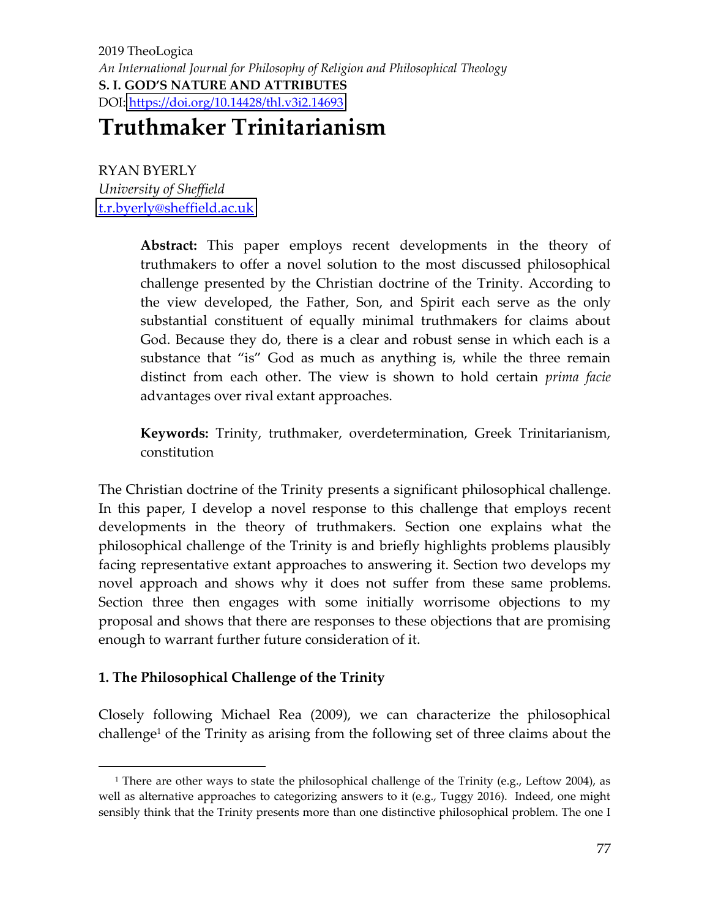# **Truthmaker Trinitarianism**

RYAN BYERLY *University of Sheffield*  [t.r.byerly@sheffield.ac.uk](mailto:t.r.byerly@sheffield.ac.uk)

> **Abstract:** This paper employs recent developments in the theory of truthmakers to offer a novel solution to the most discussed philosophical challenge presented by the Christian doctrine of the Trinity. According to the view developed, the Father, Son, and Spirit each serve as the only substantial constituent of equally minimal truthmakers for claims about God. Because they do, there is a clear and robust sense in which each is a substance that "is" God as much as anything is, while the three remain distinct from each other. The view is shown to hold certain *prima facie* advantages over rival extant approaches.

> **Keywords:** Trinity, truthmaker, overdetermination, Greek Trinitarianism, constitution

The Christian doctrine of the Trinity presents a significant philosophical challenge. In this paper, I develop a novel response to this challenge that employs recent developments in the theory of truthmakers. Section one explains what the philosophical challenge of the Trinity is and briefly highlights problems plausibly facing representative extant approaches to answering it. Section two develops my novel approach and shows why it does not suffer from these same problems. Section three then engages with some initially worrisome objections to my proposal and shows that there are responses to these objections that are promising enough to warrant further future consideration of it.

## **1. The Philosophical Challenge of the Trinity**

Closely following Michael Rea (2009), we can characterize the philosophical challenge<sup>1</sup> of the Trinity as arising from the following set of three claims about the

<sup>1</sup> There are other ways to state the philosophical challenge of the Trinity (e.g., Leftow 2004), as well as alternative approaches to categorizing answers to it (e.g., Tuggy 2016). Indeed, one might sensibly think that the Trinity presents more than one distinctive philosophical problem. The one I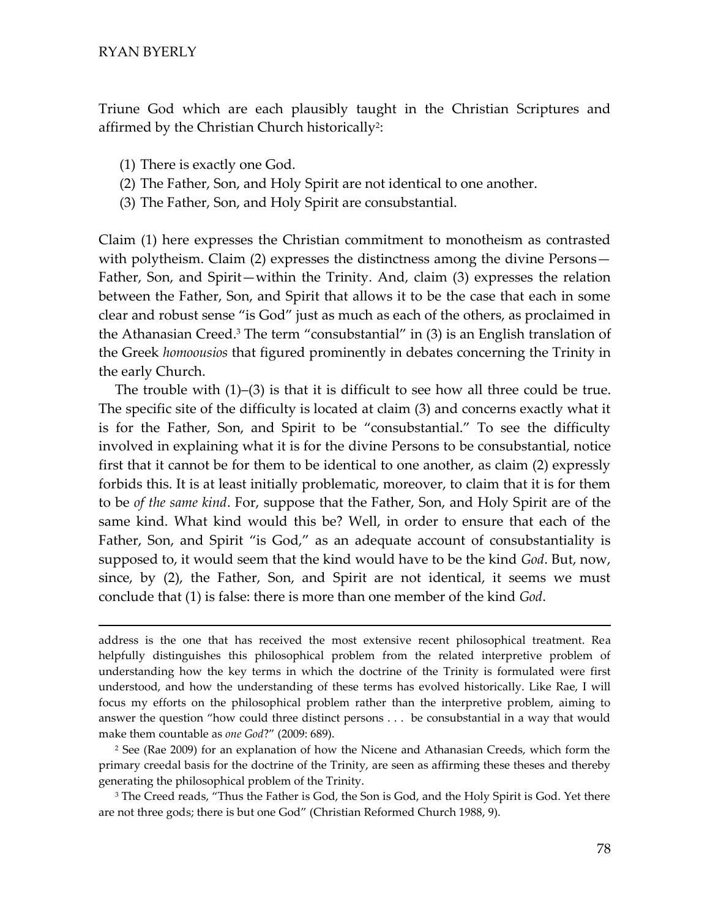Triune God which are each plausibly taught in the Christian Scriptures and affirmed by the Christian Church historically<sup>2</sup>:

- (1) There is exactly one God.
- (2) The Father, Son, and Holy Spirit are not identical to one another.
- (3) The Father, Son, and Holy Spirit are consubstantial.

Claim (1) here expresses the Christian commitment to monotheism as contrasted with polytheism. Claim (2) expresses the distinctness among the divine Persons— Father, Son, and Spirit—within the Trinity. And, claim (3) expresses the relation between the Father, Son, and Spirit that allows it to be the case that each in some clear and robust sense "is God" just as much as each of the others, as proclaimed in the Athanasian Creed.<sup>3</sup> The term "consubstantial" in  $(3)$  is an English translation of the Greek *homoousios* that figured prominently in debates concerning the Trinity in the early Church.

The trouble with  $(1)$ – $(3)$  is that it is difficult to see how all three could be true. The specific site of the difficulty is located at claim (3) and concerns exactly what it is for the Father, Son, and Spirit to be "consubstantial." To see the difficulty involved in explaining what it is for the divine Persons to be consubstantial, notice first that it cannot be for them to be identical to one another, as claim (2) expressly forbids this. It is at least initially problematic, moreover, to claim that it is for them to be of the same kind. For, suppose that the Father, Son, and Holy Spirit are of the same kind. What kind would this be? Well, in order to ensure that each of the Father, Son, and Spirit "is God," as an adequate account of consubstantiality is supposed to, it would seem that the kind would have to be the kind God. But, now, since, by (2), the Father, Son, and Spirit are not identical, it seems we must conclude that (1) is false: there is more than one member of the kind *God*.

address is the one that has received the most extensive recent philosophical treatment. Rea helpfully distinguishes this philosophical problem from the related interpretive problem of understanding how the key terms in which the doctrine of the Trinity is formulated were first understood, and how the understanding of these terms has evolved historically. Like Rae, I will focus my efforts on the philosophical problem rather than the interpretive problem, aiming to answer the question "how could three distinct persons . . . be consubstantial in a way that would make them countable as one God?" (2009: 689).

<sup>2</sup> See (Rae 2009) for an explanation of how the Nicene and Athanasian Creeds, which form the primary creedal basis for the doctrine of the Trinity, are seen as affirming these theses and thereby generating the philosophical problem of the Trinity.

<sup>3</sup> The Creed reads, "Thus the Father is God, the Son is God, and the Holy Spirit is God. Yet there are not three gods; there is but one God" (Christian Reformed Church 1988, 9).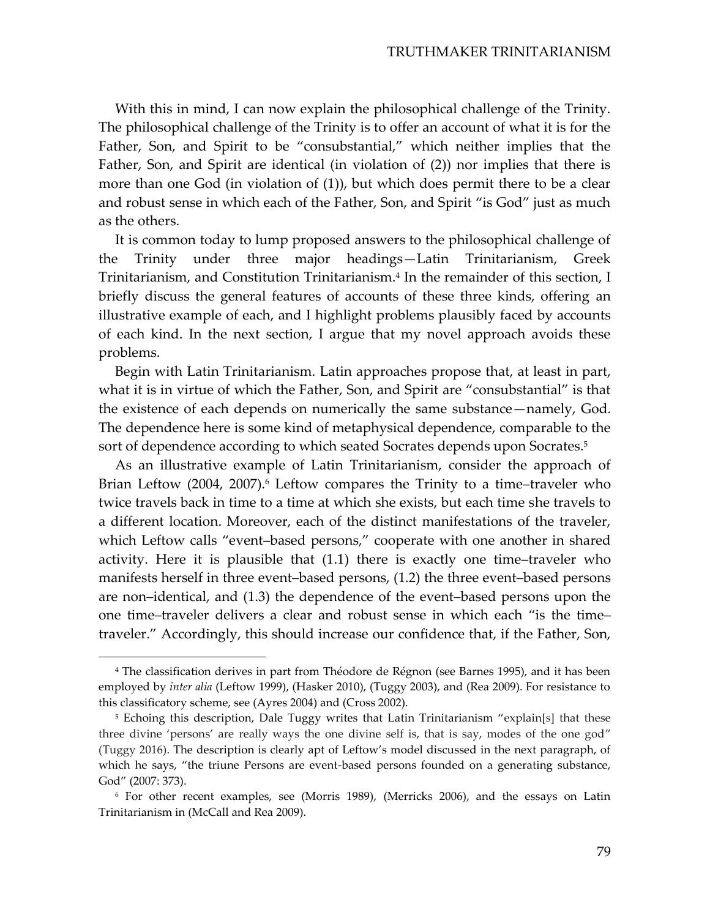With this in mind, I can now explain the philosophical challenge of the Trinity. The philosophical challenge of the Trinity is to offer an account of what it is for the Father, Son, and Spirit to be "consubstantial," which neither implies that the Father, Son, and Spirit are identical (in violation of (2)) nor implies that there is more than one God (in violation of (1)), but which does permit there to be a clear and robust sense in which each of the Father, Son, and Spirit "is God" just as much as the others.

It is common today to lump proposed answers to the philosophical challenge of the Trinity under three major headings—Latin Trinitarianism, Greek Trinitarianism, and Constitution Trinitarianism.<sup>4</sup> In the remainder of this section, I briefly discuss the general features of accounts of these three kinds, offering an illustrative example of each, and I highlight problems plausibly faced by accounts of each kind. In the next section, I argue that my novel approach avoids these problems.

Begin with Latin Trinitarianism. Latin approaches propose that, at least in part, what it is in virtue of which the Father, Son, and Spirit are "consubstantial" is that the existence of each depends on numerically the same substance — namely, God. The dependence here is some kind of metaphysical dependence, comparable to the sort of dependence according to which seated Socrates depends upon Socrates.<sup>5</sup>

As an illustrative example of Latin Trinitarianism, consider the approach of Brian Leftow (2004, 2007).<sup>6</sup> Leftow compares the Trinity to a time-traveler who twice travels back in time to a time at which she exists, but each time she travels to a different location. Moreover, each of the distinct manifestations of the traveler, which Leftow calls "event-based persons," cooperate with one another in shared activity. Here it is plausible that  $(1.1)$  there is exactly one time-traveler who manifests herself in three event-based persons, (1.2) the three event-based persons are non-identical, and (1.3) the dependence of the event-based persons upon the one time-traveler delivers a clear and robust sense in which each "is the timetraveler." Accordingly, this should increase our confidence that, if the Father, Son,

<sup>&</sup>lt;sup>4</sup> The classification derives in part from Théodore de Régnon (see Barnes 1995), and it has been employed by *inter alia* (Leftow 1999), (Hasker 2010), (Tuggy 2003), and (Rea 2009). For resistance to this classificatory scheme, see (Ayres 2004) and (Cross 2002).

<sup>5</sup> Echoing this description, Dale Tuggy writes that Latin Trinitarianism "explain[s] that these three divine 'persons' are really ways the one divine self is, that is say, modes of the one god" (Tuggy 2016). The description is clearly apt of Leftow's model discussed in the next paragraph, of which he says, "the triune Persons are event-based persons founded on a generating substance, God" (2007: 373).

<sup>6</sup> For other recent examples, see (Morris 1989), (Merricks 2006), and the essays on Latin Trinitarianism in (McCall and Rea 2009).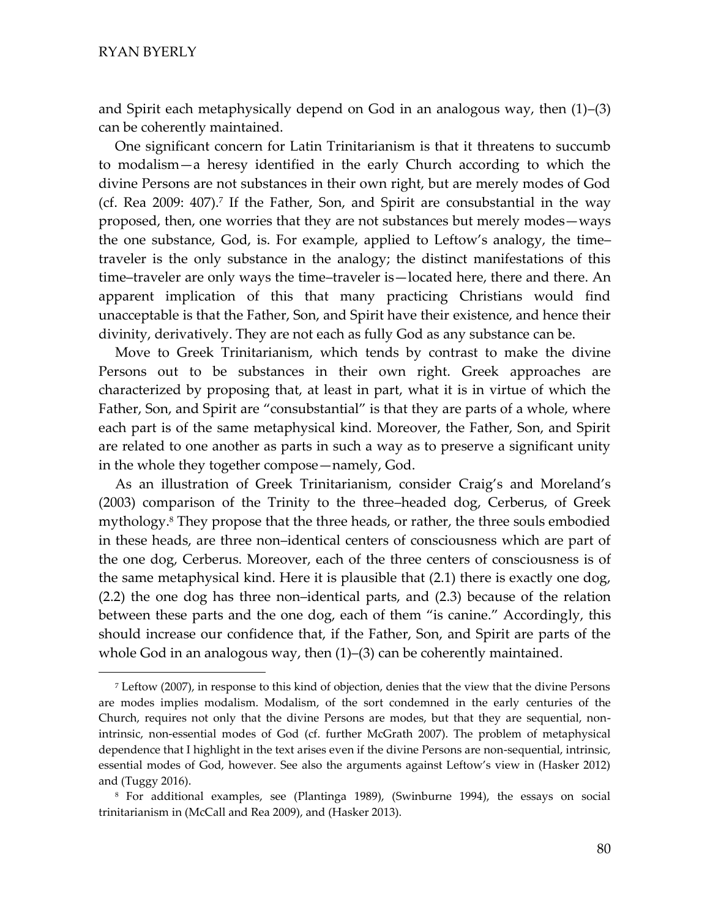and Spirit each metaphysically depend on God in an analogous way, then  $(1)$ – $(3)$ can be coherently maintained.

One significant concern for Latin Trinitarianism is that it threatens to succumb to modalism-a heresy identified in the early Church according to which the divine Persons are not substances in their own right, but are merely modes of God (cf. Rea 2009: 407).<sup>7</sup> If the Father, Son, and Spirit are consubstantial in the way proposed, then, one worries that they are not substances but merely modes—ways the one substance, God, is. For example, applied to Leftow's analogy, the timetraveler is the only substance in the analogy; the distinct manifestations of this time–traveler are only ways the time–traveler is—located here, there and there. An apparent implication of this that many practicing Christians would find unacceptable is that the Father, Son, and Spirit have their existence, and hence their divinity, derivatively. They are not each as fully God as any substance can be.

Move to Greek Trinitarianism, which tends by contrast to make the divine Persons out to be substances in their own right. Greek approaches are characterized by proposing that, at least in part, what it is in virtue of which the Father, Son, and Spirit are "consubstantial" is that they are parts of a whole, where each part is of the same metaphysical kind. Moreover, the Father, Son, and Spirit are related to one another as parts in such a way as to preserve a significant unity in the whole they together compose—namely, God.

As an illustration of Greek Trinitarianism, consider Craig's and Moreland's  $(2003)$  comparison of the Trinity to the three-headed dog, Cerberus, of Greek mythology.<sup>8</sup> They propose that the three heads, or rather, the three souls embodied in these heads, are three non-identical centers of consciousness which are part of the one dog, Cerberus. Moreover, each of the three centers of consciousness is of the same metaphysical kind. Here it is plausible that (2.1) there is exactly one dog,  $(2.2)$  the one dog has three non-identical parts, and  $(2.3)$  because of the relation between these parts and the one dog, each of them "is canine." Accordingly, this should increase our confidence that, if the Father, Son, and Spirit are parts of the whole God in an analogous way, then  $(1)$ – $(3)$  can be coherently maintained.

<sup>7</sup> Leftow (2007), in response to this kind of objection, denies that the view that the divine Persons are modes implies modalism. Modalism, of the sort condemned in the early centuries of the Church, requires not only that the divine Persons are modes, but that they are sequential, nonintrinsic, non-essential modes of God (cf. further McGrath 2007). The problem of metaphysical dependence that I highlight in the text arises even if the divine Persons are non-sequential, intrinsic, essential modes of God, however. See also the arguments against Leftow's view in (Hasker 2012) and (Tuggy 2016).

<sup>8</sup> For additional examples, see (Plantinga 1989), (Swinburne 1994), the essays on social trinitarianism in (McCall and Rea 2009), and (Hasker 2013).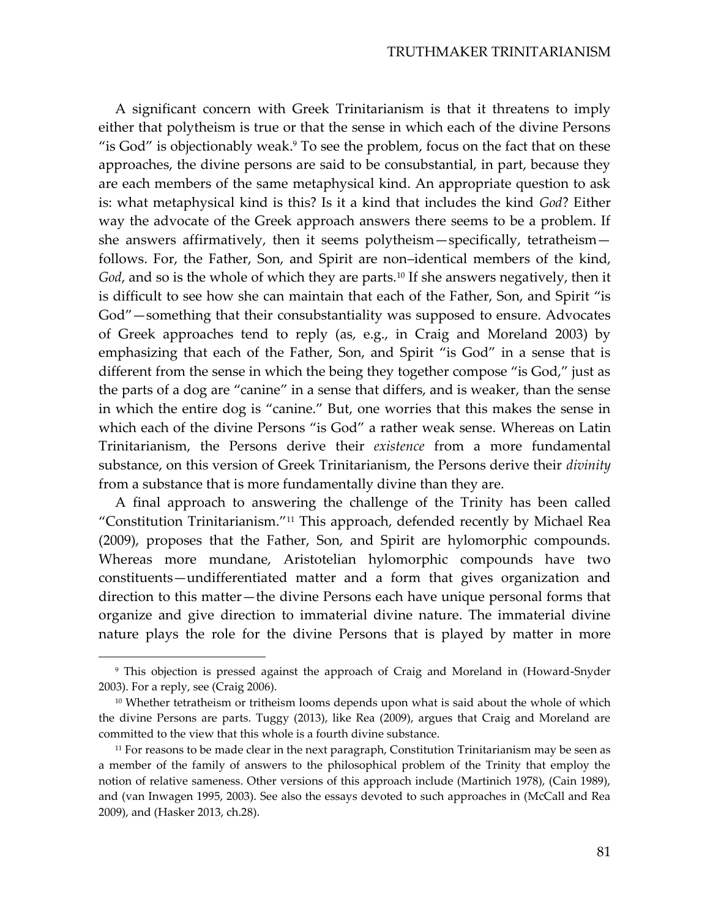A significant concern with Greek Trinitarianism is that it threatens to imply either that polytheism is true or that the sense in which each of the divine Persons "is God" is objectionably weak.<sup>9</sup> To see the problem, focus on the fact that on these approaches, the divine persons are said to be consubstantial, in part, because they are each members of the same metaphysical kind. An appropriate question to ask is: what metaphysical kind is this? Is it a kind that includes the kind God? Either way the advocate of the Greek approach answers there seems to be a problem. If she answers affirmatively, then it seems polytheism—specifically, tetratheism follows. For, the Father, Son, and Spirit are non-identical members of the kind, God, and so is the whole of which they are parts.<sup>10</sup> If she answers negatively, then it is difficult to see how she can maintain that each of the Father, Son, and Spirit "is God" – something that their consubstantiality was supposed to ensure. Advocates of Greek approaches tend to reply (as, e.g., in Craig and Moreland 2003) by emphasizing that each of the Father, Son, and Spirit "is God" in a sense that is different from the sense in which the being they together compose "is God," just as the parts of a dog are "canine" in a sense that differs, and is weaker, than the sense in which the entire dog is "canine." But, one worries that this makes the sense in which each of the divine Persons "is God" a rather weak sense. Whereas on Latin Trinitarianism, the Persons derive their existence from a more fundamental substance, on this version of Greek Trinitarianism, the Persons derive their *divinity* from a substance that is more fundamentally divine than they are.

A final approach to answering the challenge of the Trinity has been called "Constitution Trinitarianism."<sup>11</sup> This approach, defended recently by Michael Rea (2009), proposes that the Father, Son, and Spirit are hylomorphic compounds. Whereas more mundane, Aristotelian hylomorphic compounds have two constituents—undifferentiated matter and a form that gives organization and direction to this matter-the divine Persons each have unique personal forms that organize and give direction to immaterial divine nature. The immaterial divine nature plays the role for the divine Persons that is played by matter in more

<sup>&</sup>lt;sup>9</sup> This objection is pressed against the approach of Craig and Moreland in (Howard-Snyder 2003). For a reply, see (Craig 2006).

 $10$  Whether tetratheism or tritheism looms depends upon what is said about the whole of which the divine Persons are parts. Tuggy (2013), like Rea (2009), argues that Craig and Moreland are committed to the view that this whole is a fourth divine substance.

<sup>&</sup>lt;sup>11</sup> For reasons to be made clear in the next paragraph, Constitution Trinitarianism may be seen as a member of the family of answers to the philosophical problem of the Trinity that employ the notion of relative sameness. Other versions of this approach include (Martinich 1978), (Cain 1989), and (van Inwagen 1995, 2003). See also the essays devoted to such approaches in (McCall and Rea 2009), and (Hasker 2013, ch.28).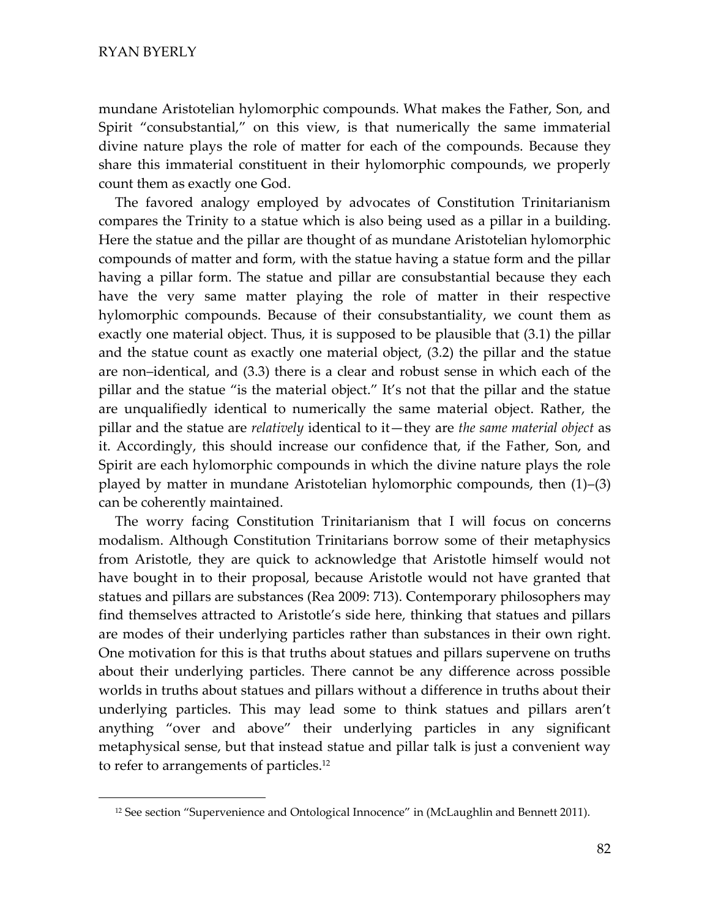mundane Aristotelian hylomorphic compounds. What makes the Father, Son, and Spirit "consubstantial," on this view, is that numerically the same immaterial divine nature plays the role of matter for each of the compounds. Because they share this immaterial constituent in their hylomorphic compounds, we properly count them as exactly one God.

The favored analogy employed by advocates of Constitution Trinitarianism compares the Trinity to a statue which is also being used as a pillar in a building. Here the statue and the pillar are thought of as mundane Aristotelian hylomorphic compounds of matter and form, with the statue having a statue form and the pillar having a pillar form. The statue and pillar are consubstantial because they each have the very same matter playing the role of matter in their respective hylomorphic compounds. Because of their consubstantiality, we count them as exactly one material object. Thus, it is supposed to be plausible that (3.1) the pillar and the statue count as exactly one material object, (3.2) the pillar and the statue are non–identical, and (3.3) there is a clear and robust sense in which each of the pillar and the statue "is the material object." It's not that the pillar and the statue are unqualifiedly identical to numerically the same material object. Rather, the pillar and the statue are *relatively* identical to it—they are *the same material object* as it. Accordingly, this should increase our confidence that, if the Father, Son, and Spirit are each hylomorphic compounds in which the divine nature plays the role played by matter in mundane Aristotelian hylomorphic compounds, then  $(1)$ – $(3)$ can be coherently maintained.

The worry facing Constitution Trinitarianism that I will focus on concerns modalism. Although Constitution Trinitarians borrow some of their metaphysics from Aristotle, they are quick to acknowledge that Aristotle himself would not have bought in to their proposal, because Aristotle would not have granted that statues and pillars are substances (Rea 2009: 713). Contemporary philosophers may find themselves attracted to Aristotle's side here, thinking that statues and pillars are modes of their underlying particles rather than substances in their own right. One motivation for this is that truths about statues and pillars supervene on truths about their underlying particles. There cannot be any difference across possible worlds in truths about statues and pillars without a difference in truths about their underlying particles. This may lead some to think statues and pillars aren't anything "over and above" their underlying particles in any significant metaphysical sense, but that instead statue and pillar talk is just a convenient way to refer to arrangements of particles.<sup>12</sup>

<sup>&</sup>lt;sup>12</sup> See section "Supervenience and Ontological Innocence" in (McLaughlin and Bennett 2011).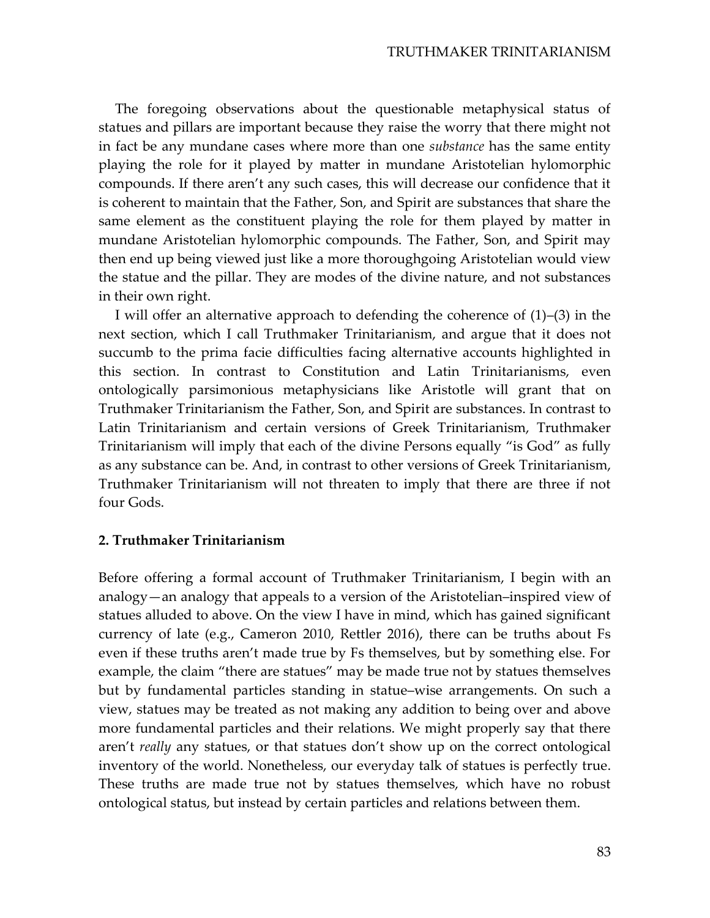The foregoing observations about the questionable metaphysical status of statues and pillars are important because they raise the worry that there might not in fact be any mundane cases where more than one *substance* has the same entity playing the role for it played by matter in mundane Aristotelian hylomorphic compounds. If there aren't any such cases, this will decrease our confidence that it is coherent to maintain that the Father, Son, and Spirit are substances that share the same element as the constituent playing the role for them played by matter in mundane Aristotelian hylomorphic compounds. The Father, Son, and Spirit may then end up being viewed just like a more thoroughgoing Aristotelian would view the statue and the pillar. They are modes of the divine nature, and not substances in their own right.

I will offer an alternative approach to defending the coherence of  $(1)$ – $(3)$  in the next section, which I call Truthmaker Trinitarianism, and argue that it does not succumb to the prima facie difficulties facing alternative accounts highlighted in this section. In contrast to Constitution and Latin Trinitarianisms, even ontologically parsimonious metaphysicians like Aristotle will grant that on Truthmaker Trinitarianism the Father, Son, and Spirit are substances. In contrast to Latin Trinitarianism and certain versions of Greek Trinitarianism, Truthmaker Trinitarianism will imply that each of the divine Persons equally "is God" as fully as any substance can be. And, in contrast to other versions of Greek Trinitarianism, Truthmaker Trinitarianism will not threaten to imply that there are three if not four Gods.

## 2. Truthmaker Trinitarianism

Before offering a formal account of Truthmaker Trinitarianism, I begin with an analogy—an analogy that appeals to a version of the Aristotelian–inspired view of statues alluded to above. On the view I have in mind, which has gained significant currency of late (e.g., Cameron 2010, Rettler 2016), there can be truths about Fs even if these truths aren't made true by Fs themselves, but by something else. For example, the claim "there are statues" may be made true not by statues themselves but by fundamental particles standing in statue–wise arrangements. On such a view, statues may be treated as not making any addition to being over and above more fundamental particles and their relations. We might properly say that there aren't really any statues, or that statues don't show up on the correct ontological inventory of the world. Nonetheless, our everyday talk of statues is perfectly true. These truths are made true not by statues themselves, which have no robust ontological status, but instead by certain particles and relations between them.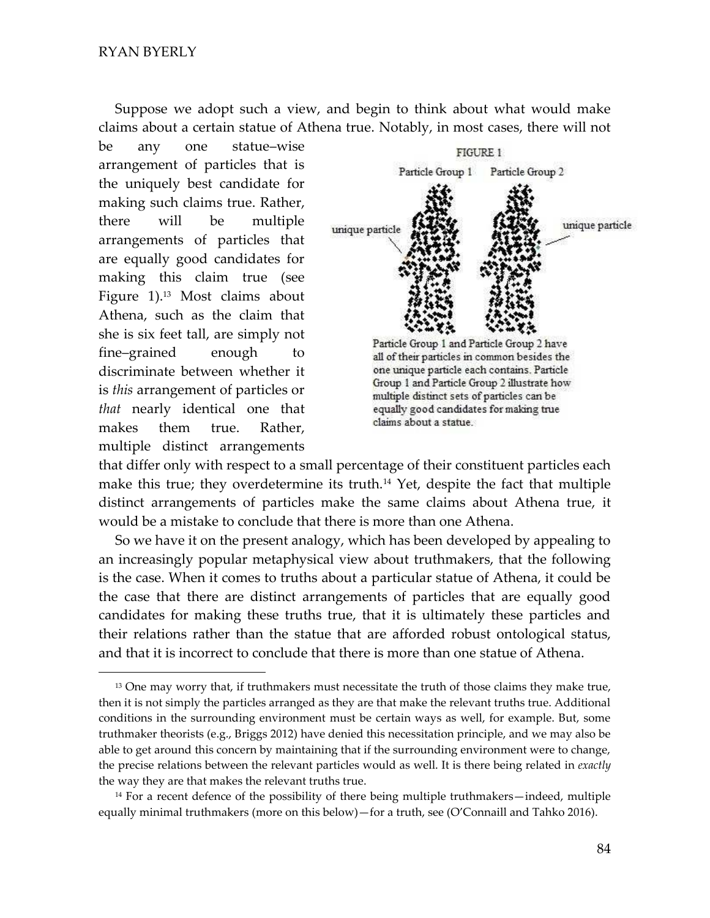Suppose we adopt such a view, and begin to think about what would make claims about a certain statue of Athena true. Notably, in most cases, there will not

be any one statue–wise arrangement of particles that is the uniquely best candidate for making such claims true. Rather, there will be multiple arrangements of particles that are equally good candidates for making this claim true (see Figure 1).13 Most claims about Athena, such as the claim that she is six feet tall, are simply not fine-grained enough to discriminate between whether it is *this* arrangement of particles or *that* nearly identical one that makes them true. Rather, multiple distinct arrangements



that differ only with respect to a small percentage of their constituent particles each make this true; they overdetermine its truth.<sup>14</sup> Yet, despite the fact that multiple distinct arrangements of particles make the same claims about Athena true, it would be a mistake to conclude that there is more than one Athena.

So we have it on the present analogy, which has been developed by appealing to an increasingly popular metaphysical view about truthmakers, that the following is the case. When it comes to truths about a particular statue of Athena, it could be the case that there are distinct arrangements of particles that are equally good candidates for making these truths true, that it is ultimately these particles and their relations rather than the statue that are afforded robust ontological status, and that it is incorrect to conclude that there is more than one statue of Athena.

<sup>&</sup>lt;sup>13</sup> One may worry that, if truthmakers must necessitate the truth of those claims they make true, then it is not simply the particles arranged as they are that make the relevant truths true. Additional conditions in the surrounding environment must be certain ways as well, for example. But, some truthmaker theorists (e.g., Briggs 2012) have denied this necessitation principle, and we may also be able to get around this concern by maintaining that if the surrounding environment were to change, the precise relations between the relevant particles would as well. It is there being related in *exactly*  the way they are that makes the relevant truths true.

 $14$  For a recent defence of the possibility of there being multiple truthmakers—indeed, multiple equally minimal truthmakers (more on this below)—for a truth, see (O'Connaill and Tahko 2016).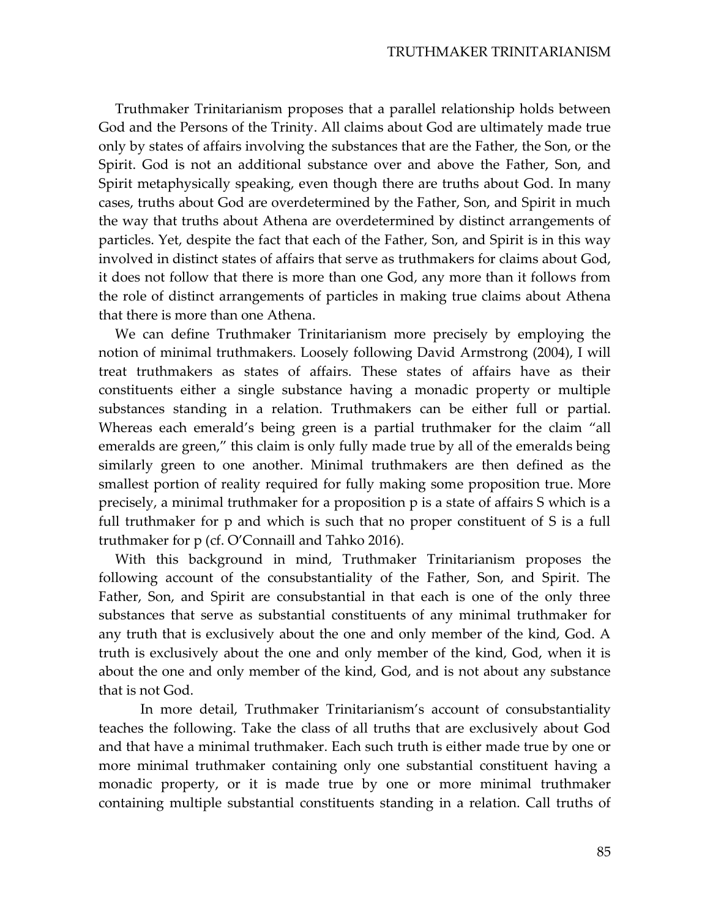Truthmaker Trinitarianism proposes that a parallel relationship holds between God and the Persons of the Trinity. All claims about God are ultimately made true only by states of affairs involving the substances that are the Father, the Son, or the Spirit. God is not an additional substance over and above the Father, Son, and Spirit metaphysically speaking, even though there are truths about God. In many cases, truths about God are overdetermined by the Father, Son, and Spirit in much the way that truths about Athena are overdetermined by distinct arrangements of particles. Yet, despite the fact that each of the Father, Son, and Spirit is in this way involved in distinct states of affairs that serve as truthmakers for claims about God, it does not follow that there is more than one God, any more than it follows from the role of distinct arrangements of particles in making true claims about Athena that there is more than one Athena.

We can define Truthmaker Trinitarianism more precisely by employing the notion of minimal truthmakers. Loosely following David Armstrong (2004), I will treat truthmakers as states of affairs. These states of affairs have as their constituents either a single substance having a monadic property or multiple substances standing in a relation. Truthmakers can be either full or partial. Whereas each emerald's being green is a partial truthmaker for the claim "all emeralds are green," this claim is only fully made true by all of the emeralds being similarly green to one another. Minimal truthmakers are then defined as the smallest portion of reality required for fully making some proposition true. More precisely, a minimal truthmaker for a proposition p is a state of affairs S which is a full truthmaker for p and which is such that no proper constituent of S is a full truthmaker for  $p$  (cf. O'Connaill and Tahko 2016).

With this background in mind, Truthmaker Trinitarianism proposes the following account of the consubstantiality of the Father, Son, and Spirit. The Father, Son, and Spirit are consubstantial in that each is one of the only three substances that serve as substantial constituents of any minimal truthmaker for any truth that is exclusively about the one and only member of the kind, God. A truth is exclusively about the one and only member of the kind, God, when it is about the one and only member of the kind, God, and is not about any substance that is not God.

In more detail, Truthmaker Trinitarianism's account of consubstantiality teaches the following. Take the class of all truths that are exclusively about God and that have a minimal truthmaker. Each such truth is either made true by one or more minimal truthmaker containing only one substantial constituent having a monadic property, or it is made true by one or more minimal truthmaker containing multiple substantial constituents standing in a relation. Call truths of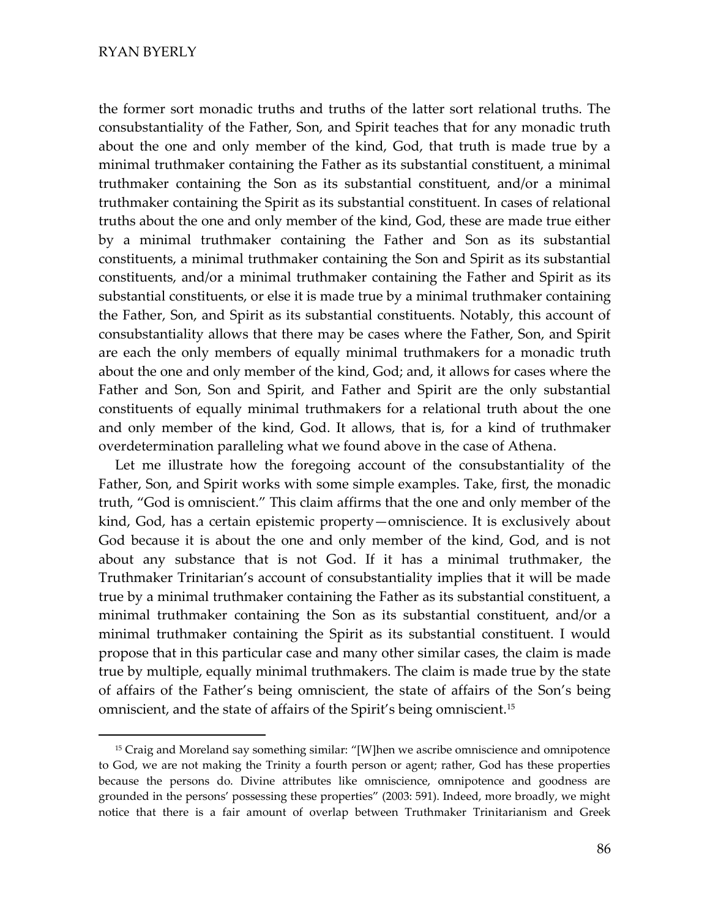#### RYAN BYERLY

the former sort monadic truths and truths of the latter sort relational truths. The consubstantiality of the Father, Son, and Spirit teaches that for any monadic truth about the one and only member of the kind, God, that truth is made true by a minimal truthmaker containing the Father as its substantial constituent, a minimal truthmaker containing the Son as its substantial constituent, and/or a minimal truthmaker containing the Spirit as its substantial constituent. In cases of relational truths about the one and only member of the kind, God, these are made true either by a minimal truthmaker containing the Father and Son as its substantial constituents, a minimal truthmaker containing the Son and Spirit as its substantial constituents, and/or a minimal truthmaker containing the Father and Spirit as its substantial constituents, or else it is made true by a minimal truthmaker containing the Father, Son, and Spirit as its substantial constituents. Notably, this account of consubstantiality allows that there may be cases where the Father, Son, and Spirit are each the only members of equally minimal truthmakers for a monadic truth about the one and only member of the kind, God; and, it allows for cases where the Father and Son, Son and Spirit, and Father and Spirit are the only substantial constituents of equally minimal truthmakers for a relational truth about the one and only member of the kind, God. It allows, that is, for a kind of truthmaker overdetermination paralleling what we found above in the case of Athena.

Let me illustrate how the foregoing account of the consubstantiality of the Father, Son, and Spirit works with some simple examples. Take, first, the monadic truth, "God is omniscient." This claim affirms that the one and only member of the kind, God, has a certain epistemic property—omniscience. It is exclusively about God because it is about the one and only member of the kind, God, and is not about any substance that is not God. If it has a minimal truthmaker, the Truthmaker Trinitarian's account of consubstantiality implies that it will be made true by a minimal truthmaker containing the Father as its substantial constituent, a minimal truthmaker containing the Son as its substantial constituent, and/or a minimal truthmaker containing the Spirit as its substantial constituent. I would propose that in this particular case and many other similar cases, the claim is made true by multiple, equally minimal truthmakers. The claim is made true by the state of affairs of the Father's being omniscient, the state of affairs of the Son's being omniscient, and the state of affairs of the Spirit's being omniscient.<sup>15</sup>

<sup>&</sup>lt;sup>15</sup> Craig and Moreland say something similar: "[W]hen we ascribe omniscience and omnipotence to God, we are not making the Trinity a fourth person or agent; rather, God has these properties because the persons do. Divine attributes like omniscience, omnipotence and goodness are grounded in the persons' possessing these properties" (2003: 591). Indeed, more broadly, we might notice that there is a fair amount of overlap between Truthmaker Trinitarianism and Greek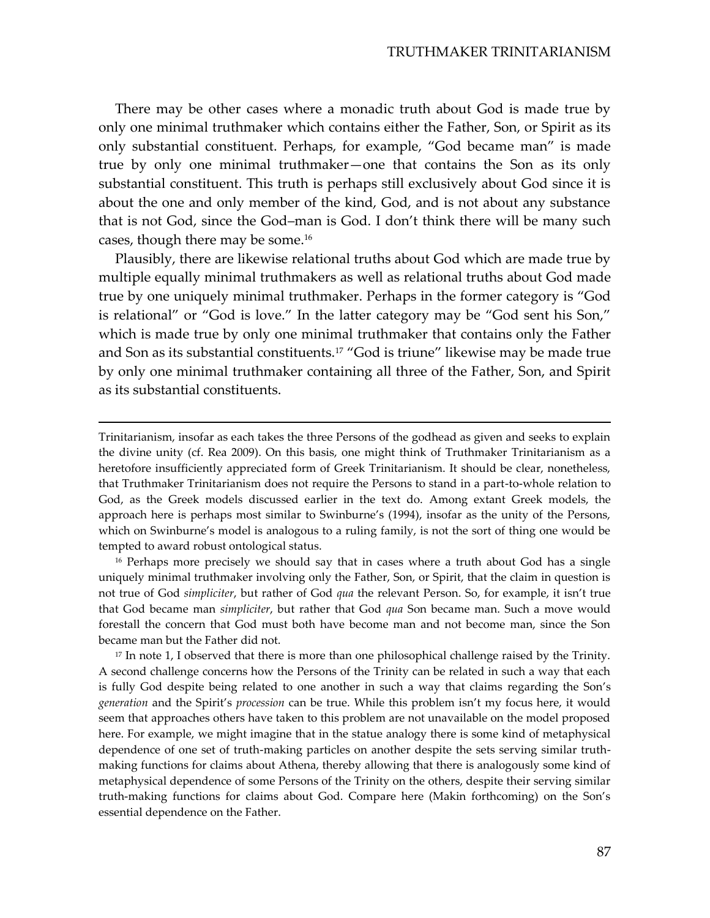There may be other cases where a monadic truth about God is made true by only one minimal truthmaker which contains either the Father, Son, or Spirit as its only substantial constituent. Perhaps, for example, "God became man" is made true by only one minimal truthmaker-one that contains the Son as its only substantial constituent. This truth is perhaps still exclusively about God since it is about the one and only member of the kind, God, and is not about any substance that is not God, since the God–man is God. I don't think there will be many such cases, though there may be some.<sup>16</sup>

Plausibly, there are likewise relational truths about God which are made true by multiple equally minimal truthmakers as well as relational truths about God made true by one uniquely minimal truthmaker. Perhaps in the former category is "God is relational" or "God is love." In the latter category may be "God sent his Son," which is made true by only one minimal truthmaker that contains only the Father and Son as its substantial constituents.<sup>17</sup> "God is triune" likewise may be made true by only one minimal truthmaker containing all three of the Father, Son, and Spirit as its substantial constituents.

Trinitarianism, insofar as each takes the three Persons of the godhead as given and seeks to explain the divine unity (cf. Rea 2009). On this basis, one might think of Truthmaker Trinitarianism as a heretofore insufficiently appreciated form of Greek Trinitarianism. It should be clear, nonetheless, that Truthmaker Trinitarianism does not require the Persons to stand in a part-to-whole relation to God, as the Greek models discussed earlier in the text do. Among extant Greek models, the approach here is perhaps most similar to Swinburne's (1994), insofar as the unity of the Persons, which on Swinburne's model is analogous to a ruling family, is not the sort of thing one would be tempted to award robust ontological status.

<sup>16</sup> Perhaps more precisely we should say that in cases where a truth about God has a single uniquely minimal truthmaker involving only the Father, Son, or Spirit, that the claim in question is not true of God *simpliciter*, but rather of God *qua* the relevant Person. So, for example, it isn't true that God became man *simpliciter*, but rather that God *qua* Son became man. Such a move would forestall the concern that God must both have become man and not become man, since the Son became man but the Father did not.

 $17$  In note 1, I observed that there is more than one philosophical challenge raised by the Trinity. A second challenge concerns how the Persons of the Trinity can be related in such a way that each is fully God despite being related to one another in such a way that claims regarding the Son's generation and the Spirit's procession can be true. While this problem isn't my focus here, it would seem that approaches others have taken to this problem are not unavailable on the model proposed here. For example, we might imagine that in the statue analogy there is some kind of metaphysical dependence of one set of truth-making particles on another despite the sets serving similar truthmaking functions for claims about Athena, thereby allowing that there is analogously some kind of metaphysical dependence of some Persons of the Trinity on the others, despite their serving similar truth-making functions for claims about God. Compare here (Makin forthcoming) on the Son's essential dependence on the Father.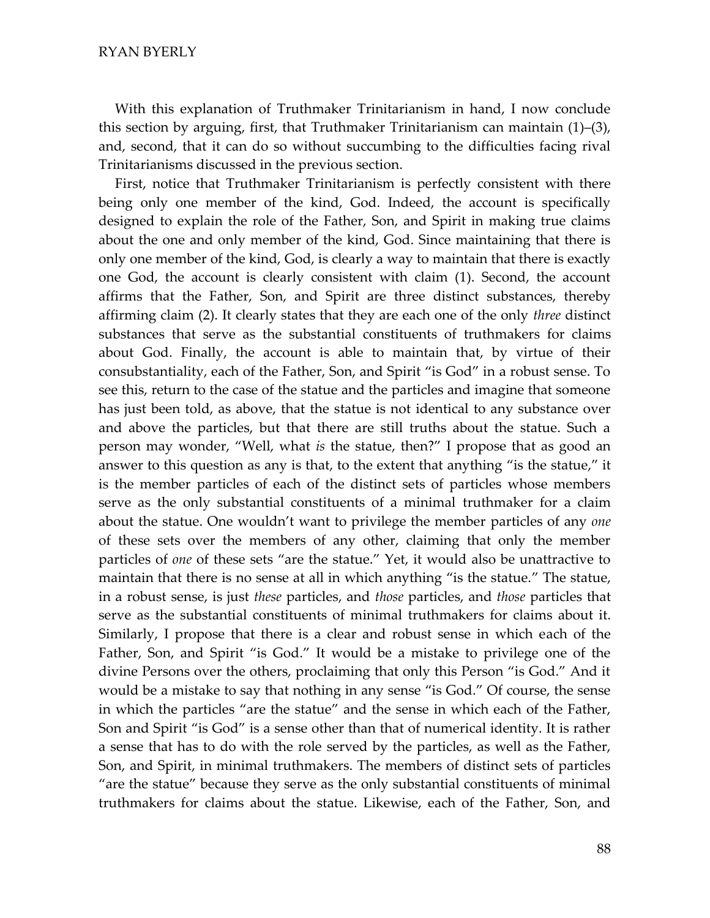With this explanation of Truthmaker Trinitarianism in hand, I now conclude this section by arguing, first, that Truthmaker Trinitarianism can maintain (1)-(3), and, second, that it can do so without succumbing to the difficulties facing rival Trinitarianisms discussed in the previous section.

First, notice that Truthmaker Trinitarianism is perfectly consistent with there being only one member of the kind, God. Indeed, the account is specifically designed to explain the role of the Father, Son, and Spirit in making true claims about the one and only member of the kind, God. Since maintaining that there is only one member of the kind, God, is clearly a way to maintain that there is exactly one God, the account is clearly consistent with claim (1). Second, the account affirms that the Father, Son, and Spirit are three distinct substances, thereby affirming claim (2). It clearly states that they are each one of the only *three* distinct substances that serve as the substantial constituents of truthmakers for claims about God. Finally, the account is able to maintain that, by virtue of their consubstantiality, each of the Father, Son, and Spirit "is God" in a robust sense. To see this, return to the case of the statue and the particles and imagine that someone has just been told, as above, that the statue is not identical to any substance over and above the particles, but that there are still truths about the statue. Such a person may wonder, "Well, what is the statue, then?" I propose that as good an answer to this question as any is that, to the extent that anything "is the statue," it is the member particles of each of the distinct sets of particles whose members serve as the only substantial constituents of a minimal truthmaker for a claim about the statue. One wouldn't want to privilege the member particles of any one of these sets over the members of any other, claiming that only the member particles of *one* of these sets "are the statue." Yet, it would also be unattractive to maintain that there is no sense at all in which anything "is the statue." The statue, in a robust sense, is just *these* particles, and *those* particles, and *those* particles that serve as the substantial constituents of minimal truthmakers for claims about it. Similarly, I propose that there is a clear and robust sense in which each of the Father, Son, and Spirit "is God." It would be a mistake to privilege one of the divine Persons over the others, proclaiming that only this Person "is God." And it would be a mistake to say that nothing in any sense "is God." Of course, the sense in which the particles "are the statue" and the sense in which each of the Father, Son and Spirit "is God" is a sense other than that of numerical identity. It is rather a sense that has to do with the role served by the particles, as well as the Father, Son, and Spirit, in minimal truthmakers. The members of distinct sets of particles "are the statue" because they serve as the only substantial constituents of minimal truthmakers for claims about the statue. Likewise, each of the Father, Son, and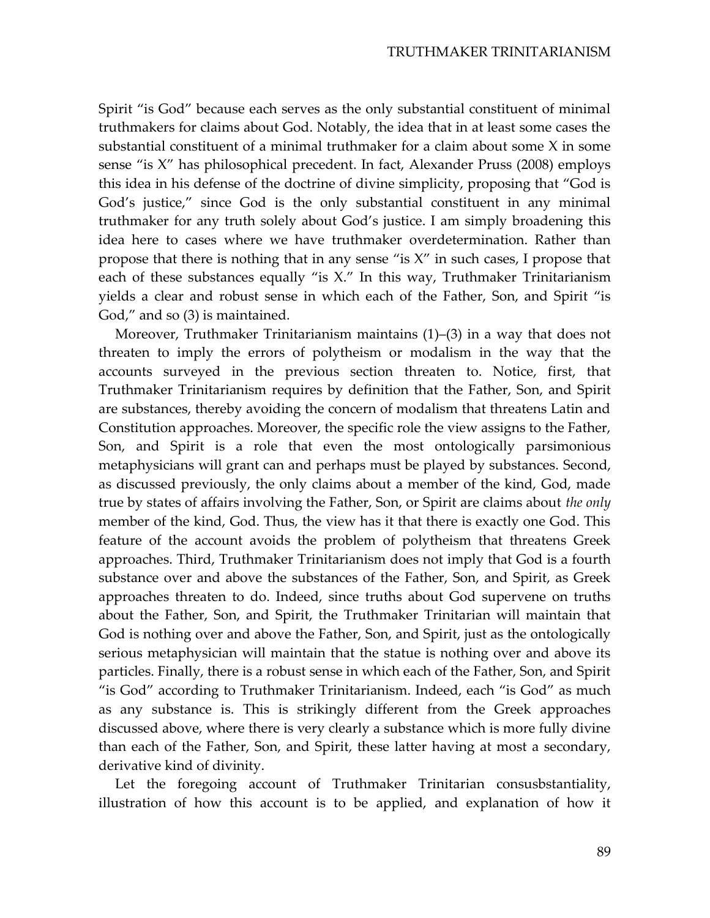Spirit "is God" because each serves as the only substantial constituent of minimal truthmakers for claims about God. Notably, the idea that in at least some cases the substantial constituent of a minimal truthmaker for a claim about some X in some sense "is X" has philosophical precedent. In fact, Alexander Pruss (2008) employs this idea in his defense of the doctrine of divine simplicity, proposing that "God is God's justice," since God is the only substantial constituent in any minimal truthmaker for any truth solely about God's justice. I am simply broadening this idea here to cases where we have truthmaker overdetermination. Rather than propose that there is nothing that in any sense "is  $X$ " in such cases, I propose that each of these substances equally "is  $X$ ." In this way, Truthmaker Trinitarianism yields a clear and robust sense in which each of the Father, Son, and Spirit "is God," and so (3) is maintained.

Moreover, Truthmaker Trinitarianism maintains  $(1)$ – $(3)$  in a way that does not threaten to imply the errors of polytheism or modalism in the way that the accounts surveyed in the previous section threaten to. Notice, first, that Truthmaker Trinitarianism requires by definition that the Father, Son, and Spirit are substances, thereby avoiding the concern of modalism that threatens Latin and Constitution approaches. Moreover, the specific role the view assigns to the Father, Son, and Spirit is a role that even the most ontologically parsimonious metaphysicians will grant can and perhaps must be played by substances. Second, as discussed previously, the only claims about a member of the kind, God, made true by states of affairs involving the Father, Son, or Spirit are claims about the only member of the kind, God. Thus, the view has it that there is exactly one God. This feature of the account avoids the problem of polytheism that threatens Greek approaches. Third, Truthmaker Trinitarianism does not imply that God is a fourth substance over and above the substances of the Father, Son, and Spirit, as Greek approaches threaten to do. Indeed, since truths about God supervene on truths about the Father, Son, and Spirit, the Truthmaker Trinitarian will maintain that God is nothing over and above the Father, Son, and Spirit, just as the ontologically serious metaphysician will maintain that the statue is nothing over and above its particles. Finally, there is a robust sense in which each of the Father, Son, and Spirit "is God" according to Truthmaker Trinitarianism. Indeed, each "is God" as much as any substance is. This is strikingly different from the Greek approaches discussed above, where there is very clearly a substance which is more fully divine than each of the Father, Son, and Spirit, these latter having at most a secondary, derivative kind of divinity.

Let the foregoing account of Truthmaker Trinitarian consusbstantiality, illustration of how this account is to be applied, and explanation of how it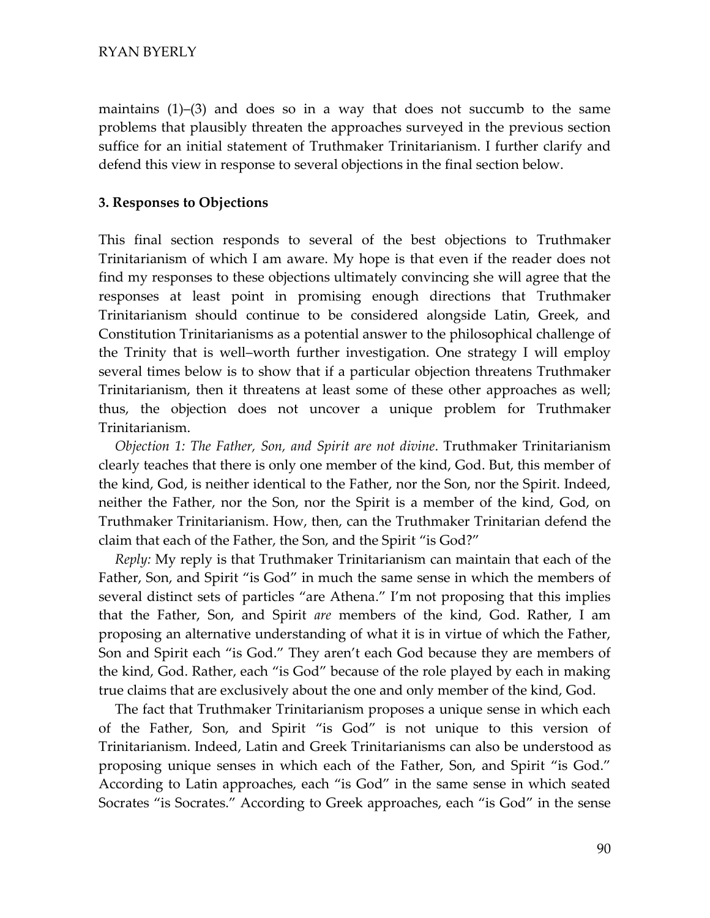maintains  $(1)-(3)$  and does so in a way that does not succumb to the same problems that plausibly threaten the approaches surveyed in the previous section suffice for an initial statement of Truthmaker Trinitarianism. I further clarify and defend this view in response to several objections in the final section below.

#### **3. Responses to Objections**

This final section responds to several of the best objections to Truthmaker Trinitarianism of which I am aware. My hope is that even if the reader does not find my responses to these objections ultimately convincing she will agree that the responses at least point in promising enough directions that Truthmaker Trinitarianism should continue to be considered alongside Latin, Greek, and Constitution Trinitarianisms as a potential answer to the philosophical challenge of the Trinity that is well–worth further investigation. One strategy I will employ several times below is to show that if a particular objection threatens Truthmaker Trinitarianism, then it threatens at least some of these other approaches as well; thus, the objection does not uncover a unique problem for Truthmaker Trinitarianism.

*Objection 1: The Father, Son, and Spirit are not divine*. Truthmaker Trinitarianism clearly teaches that there is only one member of the kind, God. But, this member of the kind, God, is neither identical to the Father, nor the Son, nor the Spirit. Indeed, neither the Father, nor the Son, nor the Spirit is a member of the kind, God, on Truthmaker Trinitarianism. How, then, can the Truthmaker Trinitarian defend the claim that each of the Father, the Son, and the Spirit "is God?"

*Reply:* My reply is that Truthmaker Trinitarianism can maintain that each of the Father, Son, and Spirit "is God" in much the same sense in which the members of several distinct sets of particles "are Athena." I'm not proposing that this implies that the Father, Son, and Spirit *are* members of the kind, God. Rather, I am proposing an alternative understanding of what it is in virtue of which the Father, Son and Spirit each "is God." They aren't each God because they are members of the kind, God. Rather, each "is God" because of the role played by each in making true claims that are exclusively about the one and only member of the kind, God.

The fact that Truthmaker Trinitarianism proposes a unique sense in which each of the Father, Son, and Spirit "is God" is not unique to this version of Trinitarianism. Indeed, Latin and Greek Trinitarianisms can also be understood as proposing unique senses in which each of the Father, Son, and Spirit "is God." According to Latin approaches, each "is God" in the same sense in which seated Socrates "is Socrates." According to Greek approaches, each "is God" in the sense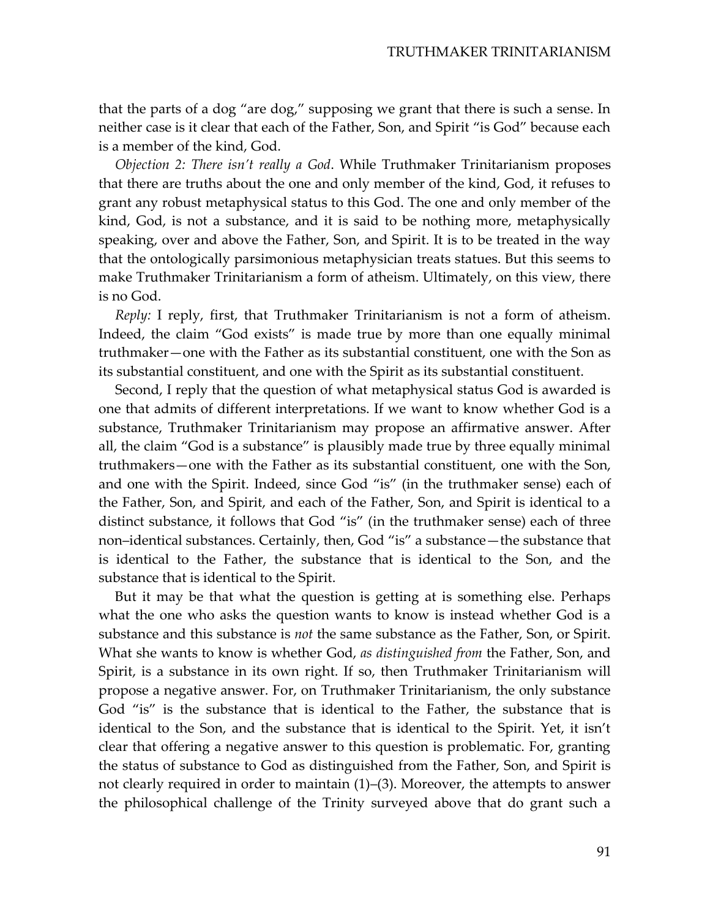that the parts of a dog "are dog," supposing we grant that there is such a sense. In neither case is it clear that each of the Father, Son, and Spirit "is God" because each is a member of the kind, God.

Objection 2: There isn't really a God. While Truthmaker Trinitarianism proposes that there are truths about the one and only member of the kind, God, it refuses to grant any robust metaphysical status to this God. The one and only member of the kind, God, is not a substance, and it is said to be nothing more, metaphysically speaking, over and above the Father, Son, and Spirit. It is to be treated in the way that the ontologically parsimonious metaphysician treats statues. But this seems to make Truthmaker Trinitarianism a form of atheism. Ultimately, on this view, there is no God.

*Reply:* I reply, first, that Truthmaker Trinitarianism is not a form of atheism. Indeed, the claim "God exists" is made true by more than one equally minimal truthmaker—one with the Father as its substantial constituent, one with the Son as its substantial constituent, and one with the Spirit as its substantial constituent.

Second, I reply that the question of what metaphysical status God is awarded is one that admits of different interpretations. If we want to know whether God is a substance, Truthmaker Trinitarianism may propose an affirmative answer. After all, the claim "God is a substance" is plausibly made true by three equally minimal truthmakers-one with the Father as its substantial constituent, one with the Son, and one with the Spirit. Indeed, since God "is" (in the truthmaker sense) each of the Father, Son, and Spirit, and each of the Father, Son, and Spirit is identical to a distinct substance, it follows that God "is" (in the truthmaker sense) each of three non-identical substances. Certainly, then, God "is" a substance — the substance that is identical to the Father, the substance that is identical to the Son, and the substance that is identical to the Spirit.

But it may be that what the question is getting at is something else. Perhaps what the one who asks the question wants to know is instead whether God is a substance and this substance is *not* the same substance as the Father, Son, or Spirit. What she wants to know is whether God, as distinguished from the Father, Son, and Spirit, is a substance in its own right. If so, then Truthmaker Trinitarianism will propose a negative answer. For, on Truthmaker Trinitarianism, the only substance God "is" is the substance that is identical to the Father, the substance that is identical to the Son, and the substance that is identical to the Spirit. Yet, it isn't clear that offering a negative answer to this question is problematic. For, granting the status of substance to God as distinguished from the Father, Son, and Spirit is not clearly required in order to maintain  $(1)$ – $(3)$ . Moreover, the attempts to answer the philosophical challenge of the Trinity surveyed above that do grant such a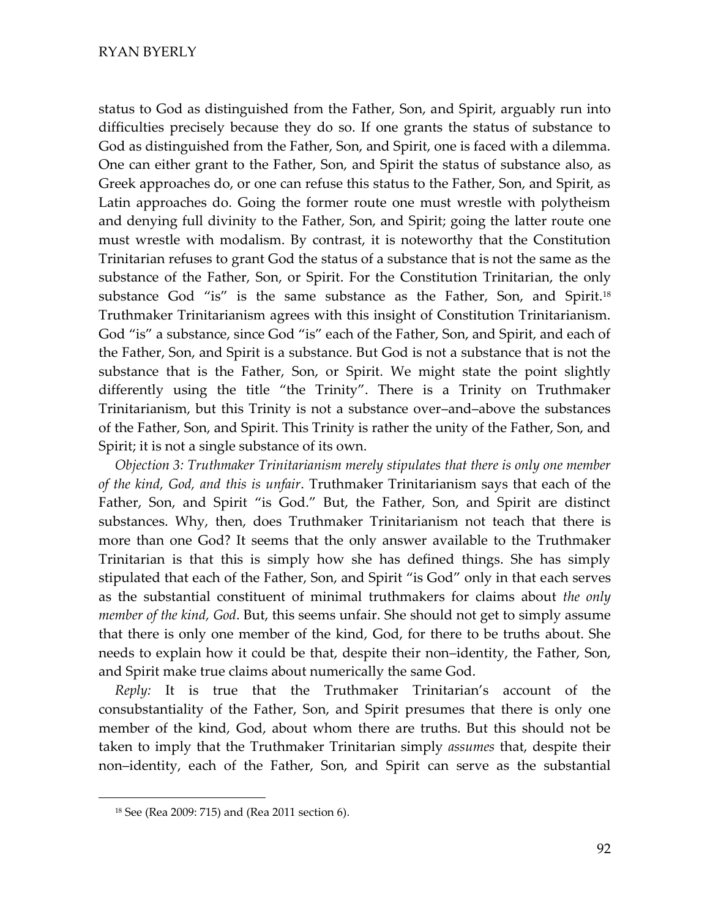status to God as distinguished from the Father, Son, and Spirit, arguably run into difficulties precisely because they do so. If one grants the status of substance to God as distinguished from the Father, Son, and Spirit, one is faced with a dilemma. One can either grant to the Father, Son, and Spirit the status of substance also, as Greek approaches do, or one can refuse this status to the Father, Son, and Spirit, as Latin approaches do. Going the former route one must wrestle with polytheism and denying full divinity to the Father, Son, and Spirit; going the latter route one must wrestle with modalism. By contrast, it is noteworthy that the Constitution Trinitarian refuses to grant God the status of a substance that is not the same as the substance of the Father, Son, or Spirit. For the Constitution Trinitarian, the only substance God "is" is the same substance as the Father, Son, and Spirit.<sup>18</sup> Truthmaker Trinitarianism agrees with this insight of Constitution Trinitarianism. God "is" a substance, since God "is" each of the Father, Son, and Spirit, and each of the Father, Son, and Spirit is a substance. But God is not a substance that is not the substance that is the Father, Son, or Spirit. We might state the point slightly differently using the title "the Trinity". There is a Trinity on Truthmaker Trinitarianism, but this Trinity is not a substance over-and-above the substances of the Father, Son, and Spirit. This Trinity is rather the unity of the Father, Son, and Spirit; it is not a single substance of its own.

Objection 3: Truthmaker Trinitarianism merely stipulates that there is only one member of the kind, God, and this is unfair. Truthmaker Trinitarianism says that each of the Father, Son, and Spirit "is God." But, the Father, Son, and Spirit are distinct substances. Why, then, does Truthmaker Trinitarianism not teach that there is more than one God? It seems that the only answer available to the Truthmaker Trinitarian is that this is simply how she has defined things. She has simply stipulated that each of the Father, Son, and Spirit "is God" only in that each serves as the substantial constituent of minimal truthmakers for claims about the only *member of the kind, God.* But, this seems unfair. She should not get to simply assume that there is only one member of the kind, God, for there to be truths about. She needs to explain how it could be that, despite their non-identity, the Father, Son, and Spirit make true claims about numerically the same God.

*Reply:* It is true that the Truthmaker Trinitarian's account of the consubstantiality of the Father, Son, and Spirit presumes that there is only one member of the kind, God, about whom there are truths. But this should not be taken to imply that the Truthmaker Trinitarian simply *assumes* that, despite their non-identity, each of the Father, Son, and Spirit can serve as the substantial

<sup>&</sup>lt;sup>18</sup> See (Rea 2009: 715) and (Rea 2011 section 6).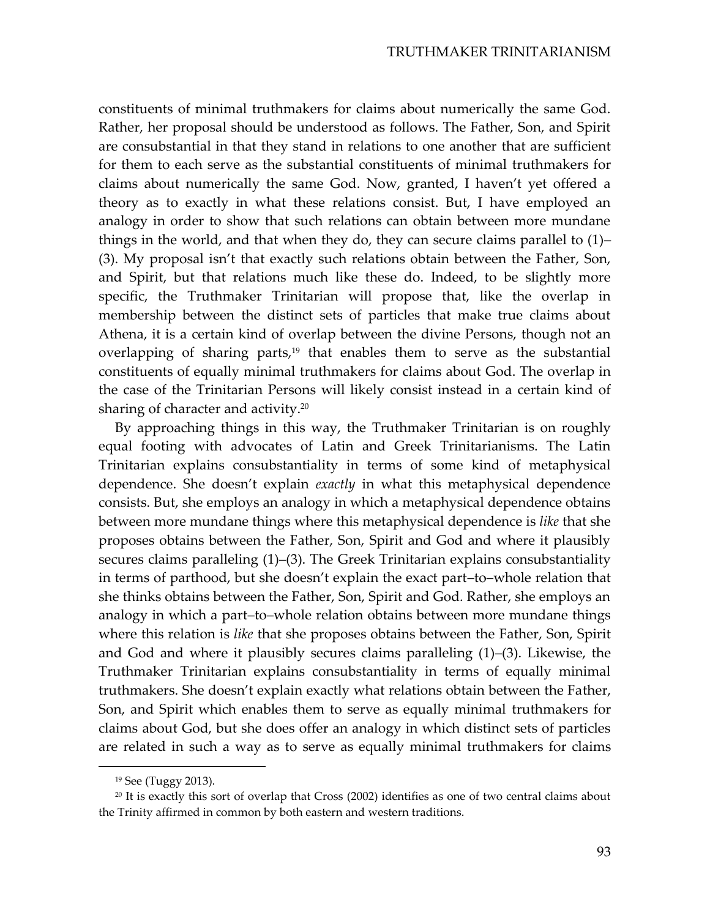constituents of minimal truthmakers for claims about numerically the same God. Rather, her proposal should be understood as follows. The Father, Son, and Spirit are consubstantial in that they stand in relations to one another that are sufficient for them to each serve as the substantial constituents of minimal truthmakers for claims about numerically the same God. Now, granted, I haven't yet offered a theory as to exactly in what these relations consist. But, I have employed an analogy in order to show that such relations can obtain between more mundane things in the world, and that when they do, they can secure claims parallel to  $(1)$ – (3). My proposal isn't that exactly such relations obtain between the Father, Son, and Spirit, but that relations much like these do. Indeed, to be slightly more specific, the Truthmaker Trinitarian will propose that, like the overlap in membership between the distinct sets of particles that make true claims about Athena, it is a certain kind of overlap between the divine Persons, though not an overlapping of sharing parts,<sup>19</sup> that enables them to serve as the substantial constituents of equally minimal truthmakers for claims about God. The overlap in the case of the Trinitarian Persons will likely consist instead in a certain kind of sharing of character and activity.<sup>20</sup>

By approaching things in this way, the Truthmaker Trinitarian is on roughly equal footing with advocates of Latin and Greek Trinitarianisms. The Latin Trinitarian explains consubstantiality in terms of some kind of metaphysical dependence. She doesn't explain exactly in what this metaphysical dependence consists. But, she employs an analogy in which a metaphysical dependence obtains between more mundane things where this metaphysical dependence is like that she proposes obtains between the Father, Son, Spirit and God and where it plausibly secures claims paralleling (1)–(3). The Greek Trinitarian explains consubstantiality in terms of parthood, but she doesn't explain the exact part-to-whole relation that she thinks obtains between the Father, Son, Spirit and God. Rather, she employs an analogy in which a part-to-whole relation obtains between more mundane things where this relation is *like* that she proposes obtains between the Father, Son, Spirit and God and where it plausibly secures claims paralleling  $(1)$ – $(3)$ . Likewise, the Truthmaker Trinitarian explains consubstantiality in terms of equally minimal truthmakers. She doesn't explain exactly what relations obtain between the Father, Son, and Spirit which enables them to serve as equally minimal truthmakers for claims about God, but she does offer an analogy in which distinct sets of particles are related in such a way as to serve as equally minimal truthmakers for claims

<sup>&</sup>lt;sup>19</sup> See (Tuggy 2013).

<sup>&</sup>lt;sup>20</sup> It is exactly this sort of overlap that Cross (2002) identifies as one of two central claims about the Trinity affirmed in common by both eastern and western traditions.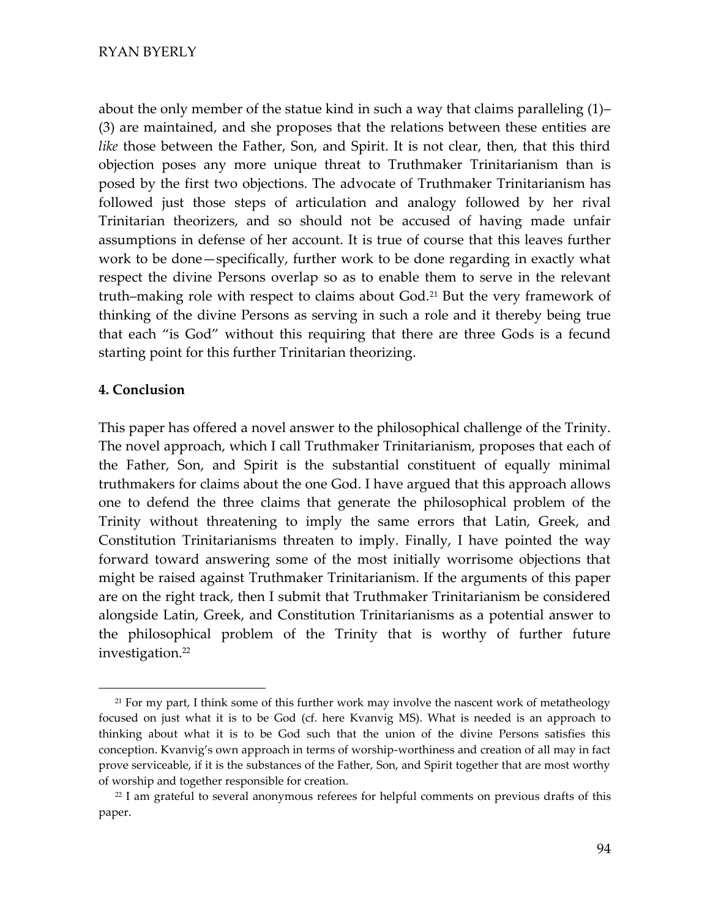about the only member of the statue kind in such a way that claims paralleling  $(1)$ – (3) are maintained, and she proposes that the relations between these entities are *like* those between the Father, Son, and Spirit. It is not clear, then, that this third objection poses any more unique threat to Truthmaker Trinitarianism than is posed by the first two objections. The advocate of Truthmaker Trinitarianism has followed just those steps of articulation and analogy followed by her rival Trinitarian theorizers, and so should not be accused of having made unfair assumptions in defense of her account. It is true of course that this leaves further work to be done—specifically, further work to be done regarding in exactly what respect the divine Persons overlap so as to enable them to serve in the relevant truth–making role with respect to claims about  $God.^{21}$  But the very framework of thinking of the divine Persons as serving in such a role and it thereby being true that each "is God" without this requiring that there are three Gods is a fecund starting point for this further Trinitarian theorizing.

### **4. Conclusion**

This paper has offered a novel answer to the philosophical challenge of the Trinity. The novel approach, which I call Truthmaker Trinitarianism, proposes that each of the Father, Son, and Spirit is the substantial constituent of equally minimal truthmakers for claims about the one God. I have argued that this approach allows one to defend the three claims that generate the philosophical problem of the Trinity without threatening to imply the same errors that Latin, Greek, and Constitution Trinitarianisms threaten to imply. Finally, I have pointed the way forward toward answering some of the most initially worrisome objections that might be raised against Truthmaker Trinitarianism. If the arguments of this paper are on the right track, then I submit that Truthmaker Trinitarianism be considered alongside Latin, Greek, and Constitution Trinitarianisms as a potential answer to the philosophical problem of the Trinity that is worthy of further future investigation.<sup>22</sup>

<sup>&</sup>lt;sup>21</sup> For my part, I think some of this further work may involve the nascent work of metatheology focused on just what it is to be God (cf. here Kvanvig MS). What is needed is an approach to thinking about what it is to be God such that the union of the divine Persons satisfies this conception. Kvanvig's own approach in terms of worship-worthiness and creation of all may in fact prove serviceable, if it is the substances of the Father, Son, and Spirit together that are most worthy of worship and together responsible for creation.

<sup>&</sup>lt;sup>22</sup> I am grateful to several anonymous referees for helpful comments on previous drafts of this paper.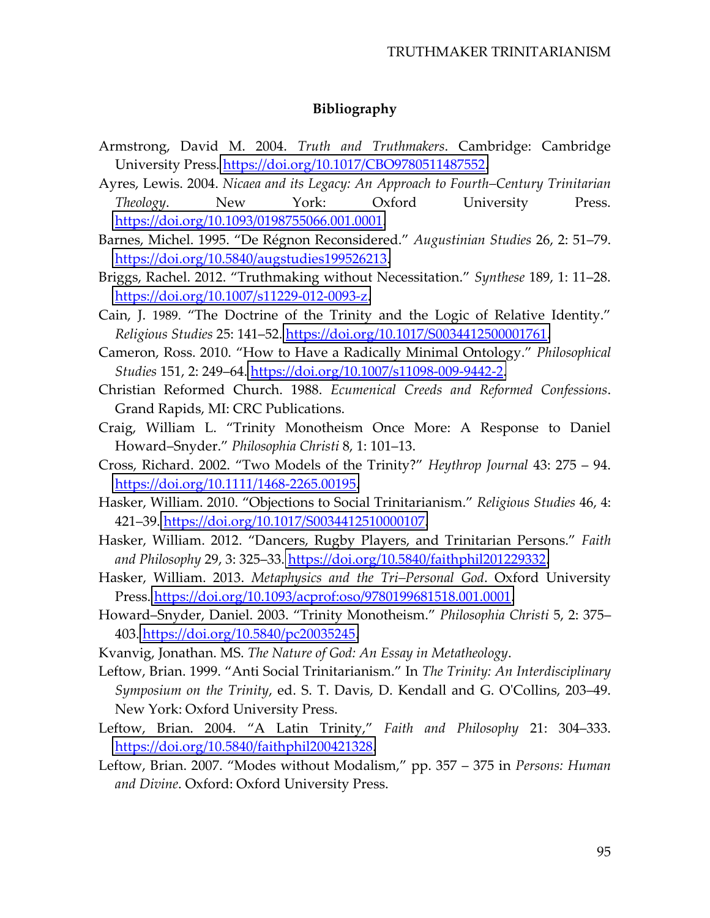## Bibliography

- Armstrong, David M. 2004. Truth and Truthmakers. Cambridge: Cambridge University Press. https://doi.org/10.1017/CBO9780511487552.
- Ayres, Lewis. 2004. Nicaea and its Legacy: An Approach to Fourth–Century Trinitarian Oxford Theology. **New** York: University Press. https://doi.org/10.1093/0198755066.001.0001.
- Barnes, Michel. 1995. "De Régnon Reconsidered." Augustinian Studies 26, 2: 51-79. https://doi.org/10.5840/augstudies199526213.
- Briggs, Rachel. 2012. "Truthmaking without Necessitation." Synthese 189, 1: 11–28. https://doi.org/10.1007/s11229-012-0093-z.
- Cain, J. 1989. "The Doctrine of the Trinity and the Logic of Relative Identity." Religious Studies 25: 141-52. https://doi.org/10.1017/S0034412500001761.
- Cameron, Ross. 2010. "How to Have a Radically Minimal Ontology." Philosophical Studies 151, 2: 249–64. https://doi.org/10.1007/s11098-009-9442-2.
- Christian Reformed Church. 1988. Ecumenical Creeds and Reformed Confessions. Grand Rapids, MI: CRC Publications.
- Craig, William L. "Trinity Monotheism Once More: A Response to Daniel Howard-Snyder." Philosophia Christi 8, 1: 101-13.
- Cross, Richard. 2002. "Two Models of the Trinity?" Heythrop Journal 43: 275 94. https://doi.org/10.1111/1468-2265.00195.
- Hasker, William. 2010. "Objections to Social Trinitarianism." Religious Studies 46, 4: 421–39. https://doi.org/10.1017/S0034412510000107.
- Hasker, William. 2012. "Dancers, Rugby Players, and Trinitarian Persons." Faith and Philosophy 29, 3: 325–33. https://doi.org/10.5840/faithphil201229332.
- Hasker, William. 2013. Metaphysics and the Tri–Personal God. Oxford University Press. https://doi.org/10.1093/acprof:oso/9780199681518.001.0001.
- Howard-Snyder, Daniel. 2003. "Trinity Monotheism." Philosophia Christi 5, 2: 375– 403. https://doi.org/10.5840/pc20035245.
- Kvanvig, Jonathan. MS. The Nature of God: An Essay in Metatheology.
- Leftow, Brian. 1999. "Anti Social Trinitarianism." In The Trinity: An Interdisciplinary Symposium on the Trinity, ed. S. T. Davis, D. Kendall and G. O'Collins, 203-49. New York: Oxford University Press.
- Leftow, Brian. 2004. "A Latin Trinity," Faith and Philosophy 21: 304-333. https://doi.org/10.5840/faithphil200421328.
- Leftow, Brian. 2007. "Modes without Modalism," pp. 357 375 in Persons: Human and Divine. Oxford: Oxford University Press.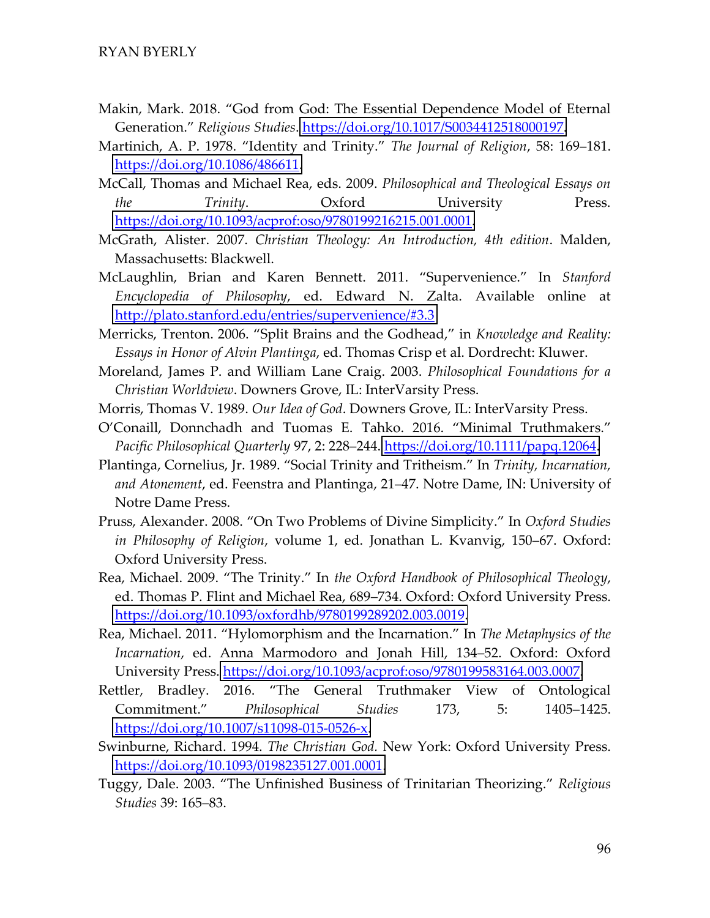- Makin, Mark. 2018. "God from God: The Essential Dependence Model of Eternal Generation." Religious Studies. https://doi.org/10.1017/S0034412518000197.
- Martinich, A. P. 1978. "Identity and Trinity." The Journal of Religion, 58: 169-181. https://doi.org/10.1086/486611.
- McCall, Thomas and Michael Rea, eds. 2009. Philosophical and Theological Essays on the Trinity. Oxford University Press. https://doi.org/10.1093/acprof:oso/9780199216215.001.0001.
- McGrath, Alister. 2007. Christian Theology: An Introduction, 4th edition. Malden, Massachusetts: Blackwell.
- McLaughlin, Brian and Karen Bennett. 2011. "Supervenience." In Stanford *Encyclopedia of Philosophy,* ed. Edward N. Zalta. Available online at http://plato.stanford.edu/entries/supervenience/#3.3
- Merricks, Trenton. 2006. "Split Brains and the Godhead," in Knowledge and Reality: Essays in Honor of Alvin Plantinga, ed. Thomas Crisp et al. Dordrecht: Kluwer.
- Moreland, James P. and William Lane Craig. 2003. Philosophical Foundations for a Christian Worldview. Downers Grove, IL: InterVarsity Press.
- Morris, Thomas V. 1989. Our Idea of God. Downers Grove, IL: InterVarsity Press.
- O'Conaill, Donnchadh and Tuomas E. Tahko. 2016. "Minimal Truthmakers." Pacific Philosophical Quarterly 97, 2: 228-244. https://doi.org/10.1111/papq.12064.
- Plantinga, Cornelius, Jr. 1989. "Social Trinity and Tritheism." In Trinity, Incarnation, and Atonement, ed. Feenstra and Plantinga, 21–47. Notre Dame, IN: University of Notre Dame Press.
- Pruss, Alexander. 2008. "On Two Problems of Divine Simplicity." In Oxford Studies *in Philosophy of Religion, volume 1, ed. Jonathan L. Kvanvig, 150–67. Oxford:* Oxford University Press.
- Rea, Michael. 2009. "The Trinity." In the Oxford Handbook of Philosophical Theology, ed. Thomas P. Flint and Michael Rea, 689–734. Oxford: Oxford University Press. https://doi.org/10.1093/oxfordhb/9780199289202.003.0019.
- Rea, Michael. 2011. "Hylomorphism and the Incarnation." In The Metaphysics of the Incarnation, ed. Anna Marmodoro and Jonah Hill, 134-52. Oxford: Oxford University Press. https://doi.org/10.1093/acprof:oso/9780199583164.003.0007.
- Rettler, Bradley. 2016. "The General Truthmaker View of Ontological Commitment." Philosophical **Studies**  $5:$ 173, 1405-1425. https://doi.org/10.1007/s11098-015-0526-x.
- Swinburne, Richard. 1994. The Christian God. New York: Oxford University Press. https://doi.org/10.1093/0198235127.001.0001.
- Tuggy, Dale. 2003. "The Unfinished Business of Trinitarian Theorizing." Religious Studies 39: 165-83.